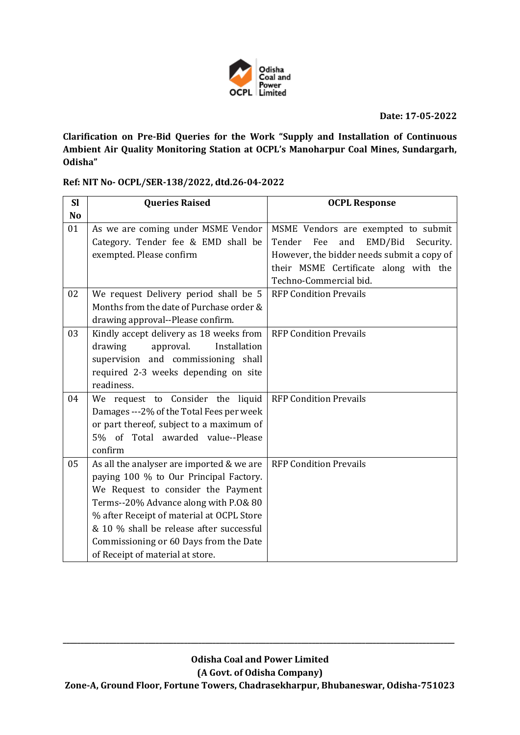

**Date: 17-05-2022**

**Clarification on Pre-Bid Queries for the Work "Supply and Installation of Continuous Ambient Air Quality Monitoring Station at OCPL's Manoharpur Coal Mines, Sundargarh, Odisha"**

**Ref: NIT No- OCPL/SER-138/2022, dtd.26-04-2022** 

| MSME Vendors are exempted to submit        |
|--------------------------------------------|
| Security.                                  |
| However, the bidder needs submit a copy of |
| their MSME Certificate along with the      |
|                                            |
|                                            |
|                                            |
|                                            |
|                                            |
|                                            |
|                                            |
|                                            |
|                                            |
|                                            |
|                                            |
|                                            |
|                                            |
|                                            |
|                                            |
|                                            |
|                                            |
|                                            |
|                                            |
|                                            |
|                                            |
|                                            |

**\_\_\_\_\_\_\_\_\_\_\_\_\_\_\_\_\_\_\_\_\_\_\_\_\_\_\_\_\_\_\_\_\_\_\_\_\_\_\_\_\_\_\_\_\_\_\_\_\_\_\_\_\_\_\_\_\_\_\_\_\_\_\_\_\_\_\_\_\_\_\_\_\_\_\_\_\_\_\_\_\_\_\_\_\_\_\_\_\_\_\_\_\_\_\_\_\_\_\_\_\_\_\_\_\_\_\_\_\_\_**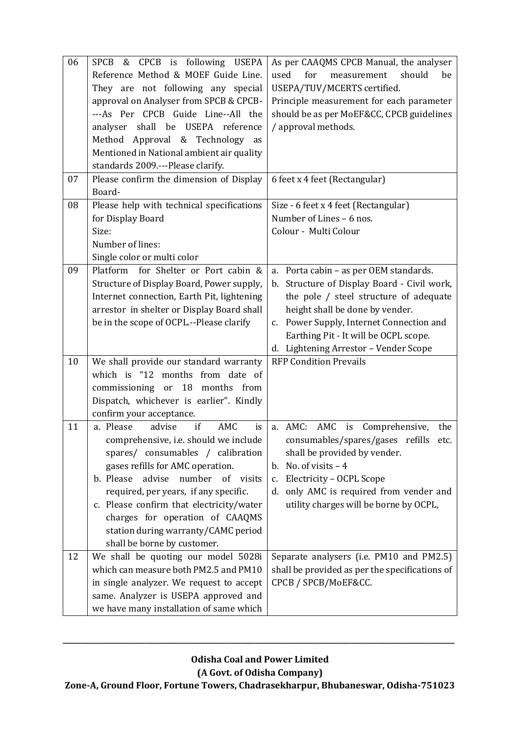| 06<br>07 | CPCB is following USEPA<br><b>SPCB</b><br>&<br>Reference Method & MOEF Guide Line.<br>They are not following any special<br>approval on Analyser from SPCB & CPCB-<br>---As Per CPCB Guide Line--All the<br>analyser shall be USEPA reference<br>Method Approval & Technology as<br>Mentioned in National ambient air quality<br>standards 2009.---Please clarify.<br>Please confirm the dimension of Display | As per CAAQMS CPCB Manual, the analyser<br>should<br>used<br>for<br>measurement<br>be<br>USEPA/TUV/MCERTS certified.<br>Principle measurement for each parameter<br>should be as per MoEF&CC, CPCB guidelines<br>/ approval methods.<br>6 feet x 4 feet (Rectangular)                                    |
|----------|---------------------------------------------------------------------------------------------------------------------------------------------------------------------------------------------------------------------------------------------------------------------------------------------------------------------------------------------------------------------------------------------------------------|----------------------------------------------------------------------------------------------------------------------------------------------------------------------------------------------------------------------------------------------------------------------------------------------------------|
|          | Board-                                                                                                                                                                                                                                                                                                                                                                                                        |                                                                                                                                                                                                                                                                                                          |
| 08       | Please help with technical specifications<br>for Display Board<br>Size:<br>Number of lines:<br>Single color or multi color                                                                                                                                                                                                                                                                                    | Size - 6 feet x 4 feet (Rectangular)<br>Number of Lines - 6 nos.<br>Colour - Multi Colour                                                                                                                                                                                                                |
| 09       | for Shelter or Port cabin &<br>Platform<br>Structure of Display Board, Power supply,<br>Internet connection, Earth Pit, lightening<br>arrestor in shelter or Display Board shall<br>be in the scope of OCPL .-- Please clarify                                                                                                                                                                                | a. Porta cabin - as per OEM standards.<br>b. Structure of Display Board - Civil work,<br>the pole / steel structure of adequate<br>height shall be done by vender.<br>Power Supply, Internet Connection and<br>$C_{1}$<br>Earthing Pit - It will be OCPL scope.<br>d. Lightening Arrestor - Vender Scope |
| 10       | We shall provide our standard warranty<br>which is "12 months from date of<br>18<br>commissioning or<br>months<br>from<br>Dispatch, whichever is earlier". Kindly<br>confirm your acceptance.                                                                                                                                                                                                                 | <b>RFP Condition Prevails</b>                                                                                                                                                                                                                                                                            |
| 11       | advise<br>if<br>a. Please<br>AMC<br>is<br>comprehensive, <i>i.e.</i> should we include<br>spares/ consumables / calibration<br>gases refills for AMC operation.<br>number of visits<br>b. Please<br>advise<br>required, per years, if any specific.<br>c. Please confirm that electricity/water<br>charges for operation of CAAQMS<br>station during warranty/CAMC period<br>shall be borne by customer.      | AMC<br>a. AMC:<br>Comprehensive,<br>is<br>the<br>consumables/spares/gases refills etc.<br>shall be provided by vender.<br>b. No. of visits $-4$<br>Electricity - OCPL Scope<br>c.<br>d. only AMC is required from vender and<br>utility charges will be borne by OCPL,                                   |
| 12       | We shall be quoting our model 5028i<br>which can measure both PM2.5 and PM10<br>in single analyzer. We request to accept<br>same. Analyzer is USEPA approved and<br>we have many installation of same which                                                                                                                                                                                                   | Separate analysers (i.e. PM10 and PM2.5)<br>shall be provided as per the specifications of<br>CPCB / SPCB/MoEF&CC.                                                                                                                                                                                       |

**\_\_\_\_\_\_\_\_\_\_\_\_\_\_\_\_\_\_\_\_\_\_\_\_\_\_\_\_\_\_\_\_\_\_\_\_\_\_\_\_\_\_\_\_\_\_\_\_\_\_\_\_\_\_\_\_\_\_\_\_\_\_\_\_\_\_\_\_\_\_\_\_\_\_\_\_\_\_\_\_\_\_\_\_\_\_\_\_\_\_\_\_\_\_\_\_\_\_\_\_\_\_\_\_\_\_\_\_\_\_**

**(A Govt. of Odisha Company)**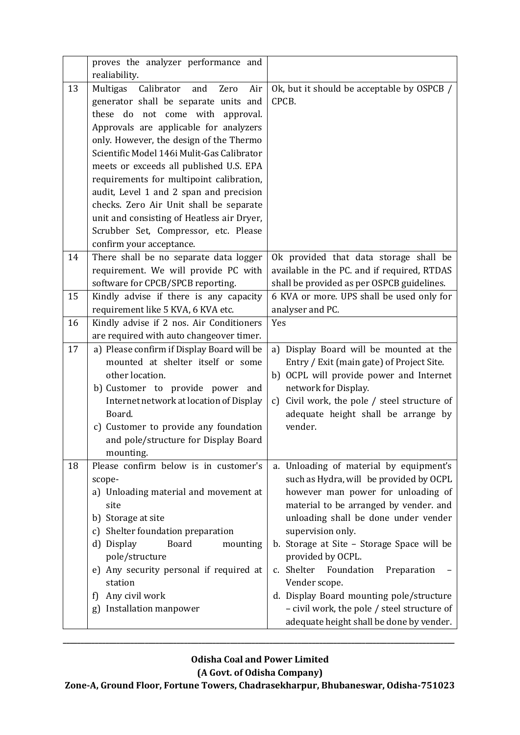|    | proves the analyzer performance and<br>realiability.                                                                                                                                                                                                                                                                                                                                  |                                                                                                                                                                                                                                                                                                                                                                                                                                                                                                       |
|----|---------------------------------------------------------------------------------------------------------------------------------------------------------------------------------------------------------------------------------------------------------------------------------------------------------------------------------------------------------------------------------------|-------------------------------------------------------------------------------------------------------------------------------------------------------------------------------------------------------------------------------------------------------------------------------------------------------------------------------------------------------------------------------------------------------------------------------------------------------------------------------------------------------|
| 13 | Multigas<br>Calibrator and<br>Zero<br>Air<br>generator shall be separate units and<br>these do not come with approval.<br>Approvals are applicable for analyzers                                                                                                                                                                                                                      | Ok, but it should be acceptable by OSPCB /<br>CPCB.                                                                                                                                                                                                                                                                                                                                                                                                                                                   |
|    | only. However, the design of the Thermo<br>Scientific Model 146i Mulit-Gas Calibrator<br>meets or exceeds all published U.S. EPA<br>requirements for multipoint calibration,<br>audit, Level 1 and 2 span and precision<br>checks. Zero Air Unit shall be separate<br>unit and consisting of Heatless air Dryer,<br>Scrubber Set, Compressor, etc. Please<br>confirm your acceptance. |                                                                                                                                                                                                                                                                                                                                                                                                                                                                                                       |
| 14 | There shall be no separate data logger<br>requirement. We will provide PC with<br>software for CPCB/SPCB reporting.                                                                                                                                                                                                                                                                   | Ok provided that data storage shall be<br>available in the PC. and if required, RTDAS<br>shall be provided as per OSPCB guidelines.                                                                                                                                                                                                                                                                                                                                                                   |
| 15 | Kindly advise if there is any capacity<br>requirement like 5 KVA, 6 KVA etc.                                                                                                                                                                                                                                                                                                          | 6 KVA or more. UPS shall be used only for<br>analyser and PC.                                                                                                                                                                                                                                                                                                                                                                                                                                         |
| 16 | Kindly advise if 2 nos. Air Conditioners<br>are required with auto changeover timer.                                                                                                                                                                                                                                                                                                  | Yes                                                                                                                                                                                                                                                                                                                                                                                                                                                                                                   |
| 17 | a) Please confirm if Display Board will be<br>mounted at shelter itself or some<br>other location.<br>b) Customer to provide power and<br>Internet network at location of Display<br>Board.<br>c) Customer to provide any foundation<br>and pole/structure for Display Board<br>mounting.                                                                                             | Display Board will be mounted at the<br>a)<br>Entry / Exit (main gate) of Project Site.<br>b) OCPL will provide power and Internet<br>network for Display.<br>Civil work, the pole / steel structure of<br>c)<br>adequate height shall be arrange by<br>vender.                                                                                                                                                                                                                                       |
| 18 | Please confirm below is in customer's<br>scope-<br>a) Unloading material and movement at<br>site<br>b) Storage at site<br>c) Shelter foundation preparation<br>d) Display<br><b>Board</b><br>mounting<br>pole/structure<br>e) Any security personal if required at<br>station<br>Any civil work<br>f)<br>Installation manpower<br>g)                                                  | a. Unloading of material by equipment's<br>such as Hydra, will be provided by OCPL<br>however man power for unloading of<br>material to be arranged by vender. and<br>unloading shall be done under vender<br>supervision only.<br>b. Storage at Site - Storage Space will be<br>provided by OCPL.<br>c. Shelter<br>Foundation<br>Preparation<br>Vender scope.<br>d. Display Board mounting pole/structure<br>- civil work, the pole / steel structure of<br>adequate height shall be done by vender. |

**\_\_\_\_\_\_\_\_\_\_\_\_\_\_\_\_\_\_\_\_\_\_\_\_\_\_\_\_\_\_\_\_\_\_\_\_\_\_\_\_\_\_\_\_\_\_\_\_\_\_\_\_\_\_\_\_\_\_\_\_\_\_\_\_\_\_\_\_\_\_\_\_\_\_\_\_\_\_\_\_\_\_\_\_\_\_\_\_\_\_\_\_\_\_\_\_\_\_\_\_\_\_\_\_\_\_\_\_\_\_**

## **(A Govt. of Odisha Company)**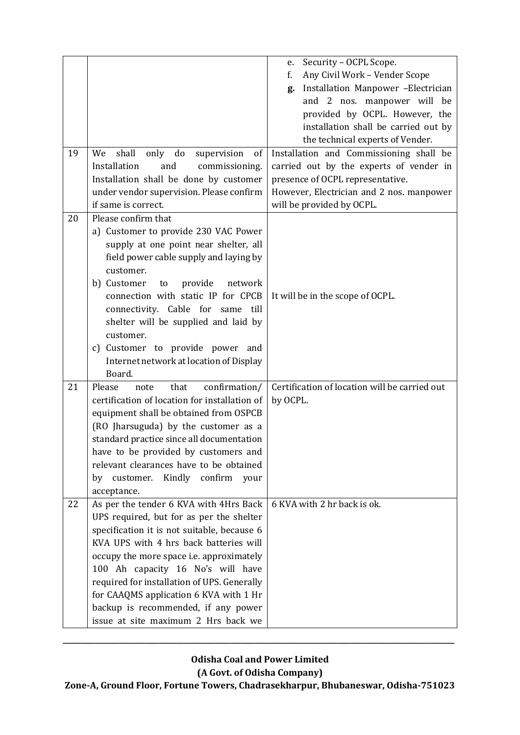| 19 | only do<br>shall<br>We<br>supervision<br>of<br>Installation<br>and<br>commissioning.<br>Installation shall be done by customer<br>under vendor supervision. Please confirm<br>if same is correct.                                                                                                                                                                                                                                   | Security - OCPL Scope.<br>e.<br>Any Civil Work - Vender Scope<br>f.<br>Installation Manpower -Electrician<br>g.<br>and 2 nos. manpower will be<br>provided by OCPL. However, the<br>installation shall be carried out by<br>the technical experts of Vender.<br>Installation and Commissioning shall be<br>carried out by the experts of vender in<br>presence of OCPL representative.<br>However, Electrician and 2 nos. manpower<br>will be provided by OCPL. |
|----|-------------------------------------------------------------------------------------------------------------------------------------------------------------------------------------------------------------------------------------------------------------------------------------------------------------------------------------------------------------------------------------------------------------------------------------|-----------------------------------------------------------------------------------------------------------------------------------------------------------------------------------------------------------------------------------------------------------------------------------------------------------------------------------------------------------------------------------------------------------------------------------------------------------------|
| 20 | Please confirm that<br>a) Customer to provide 230 VAC Power<br>supply at one point near shelter, all<br>field power cable supply and laying by<br>customer.<br>b) Customer<br>provide<br>network<br>to<br>connection with static IP for CPCB<br>connectivity. Cable for same<br>till<br>shelter will be supplied and laid by<br>customer.<br>c) Customer to provide power and<br>Internet network at location of Display<br>Board.  | It will be in the scope of OCPL.                                                                                                                                                                                                                                                                                                                                                                                                                                |
| 21 | confirmation/<br>Please<br>note<br>that<br>certification of location for installation of<br>equipment shall be obtained from OSPCB<br>(RO Jharsuguda) by the customer as a<br>standard practice since all documentation<br>have to be provided by customers and<br>relevant clearances have to be obtained<br>by customer. Kindly confirm<br>your<br>acceptance.                                                                    | Certification of location will be carried out<br>by OCPL.                                                                                                                                                                                                                                                                                                                                                                                                       |
| 22 | As per the tender 6 KVA with 4Hrs Back<br>UPS required, but for as per the shelter<br>specification it is not suitable, because 6<br>KVA UPS with 4 hrs back batteries will<br>occupy the more space i.e. approximately<br>100 Ah capacity 16 No's will have<br>required for installation of UPS. Generally<br>for CAAQMS application 6 KVA with 1 Hr<br>backup is recommended, if any power<br>issue at site maximum 2 Hrs back we | 6 KVA with 2 hr back is ok.                                                                                                                                                                                                                                                                                                                                                                                                                                     |

**\_\_\_\_\_\_\_\_\_\_\_\_\_\_\_\_\_\_\_\_\_\_\_\_\_\_\_\_\_\_\_\_\_\_\_\_\_\_\_\_\_\_\_\_\_\_\_\_\_\_\_\_\_\_\_\_\_\_\_\_\_\_\_\_\_\_\_\_\_\_\_\_\_\_\_\_\_\_\_\_\_\_\_\_\_\_\_\_\_\_\_\_\_\_\_\_\_\_\_\_\_\_\_\_\_\_\_\_\_\_**

**(A Govt. of Odisha Company)**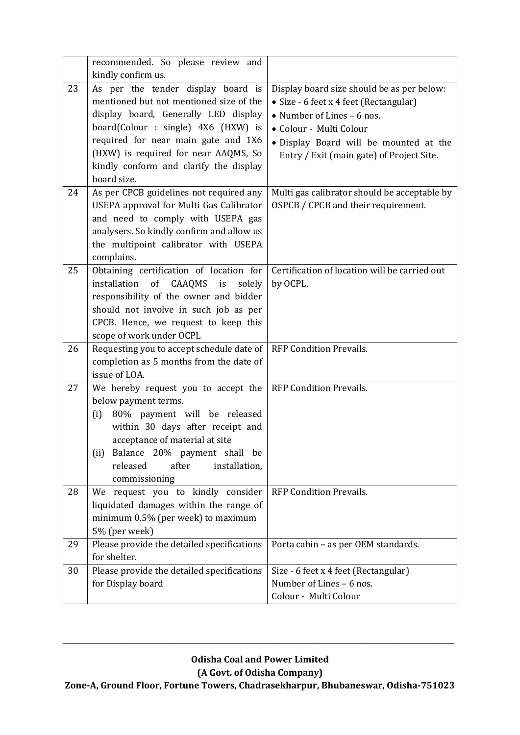|    | recommended. So please review and<br>kindly confirm us.                                                                                                                                                                                                                                              |                                                                                                                                                                                                                                      |
|----|------------------------------------------------------------------------------------------------------------------------------------------------------------------------------------------------------------------------------------------------------------------------------------------------------|--------------------------------------------------------------------------------------------------------------------------------------------------------------------------------------------------------------------------------------|
| 23 | As per the tender display board is<br>mentioned but not mentioned size of the<br>display board, Generally LED display<br>board(Colour : single) 4X6 (HXW) is<br>required for near main gate and 1X6<br>(HXW) is required for near AAQMS, So<br>kindly conform and clarify the display<br>board size. | Display board size should be as per below:<br>• Size - 6 feet x 4 feet (Rectangular)<br>• Number of Lines - 6 nos.<br>• Colour - Multi Colour<br>· Display Board will be mounted at the<br>Entry / Exit (main gate) of Project Site. |
| 24 | As per CPCB guidelines not required any<br>USEPA approval for Multi Gas Calibrator<br>and need to comply with USEPA gas<br>analysers. So kindly confirm and allow us<br>the multipoint calibrator with USEPA<br>complains.                                                                           | Multi gas calibrator should be acceptable by<br>OSPCB / CPCB and their requirement.                                                                                                                                                  |
| 25 | Obtaining certification of location for<br>of<br>installation<br>CAAQMS<br>i <sub>S</sub><br>solely<br>responsibility of the owner and bidder<br>should not involve in such job as per<br>CPCB. Hence, we request to keep this<br>scope of work under OCPL                                           | Certification of location will be carried out<br>by OCPL.                                                                                                                                                                            |
| 26 | Requesting you to accept schedule date of<br>completion as 5 months from the date of<br>issue of LOA.                                                                                                                                                                                                | <b>RFP Condition Prevails.</b>                                                                                                                                                                                                       |
| 27 | We hereby request you to accept the<br>below payment terms.<br>80% payment will be released<br>(i)<br>within 30 days after receipt and<br>acceptance of material at site<br>(ii) Balance 20% payment shall be<br>released<br>after<br>installation,<br>commissioning                                 | <b>RFP Condition Prevails.</b>                                                                                                                                                                                                       |
| 28 | We request you to kindly consider<br>liquidated damages within the range of<br>minimum 0.5% (per week) to maximum<br>5% (per week)                                                                                                                                                                   | <b>RFP Condition Prevails.</b>                                                                                                                                                                                                       |
| 29 | Please provide the detailed specifications<br>for shelter.                                                                                                                                                                                                                                           | Porta cabin - as per OEM standards.                                                                                                                                                                                                  |
| 30 | Please provide the detailed specifications<br>for Display board                                                                                                                                                                                                                                      | Size - 6 feet x 4 feet (Rectangular)<br>Number of Lines - 6 nos.<br>Colour - Multi Colour                                                                                                                                            |

**\_\_\_\_\_\_\_\_\_\_\_\_\_\_\_\_\_\_\_\_\_\_\_\_\_\_\_\_\_\_\_\_\_\_\_\_\_\_\_\_\_\_\_\_\_\_\_\_\_\_\_\_\_\_\_\_\_\_\_\_\_\_\_\_\_\_\_\_\_\_\_\_\_\_\_\_\_\_\_\_\_\_\_\_\_\_\_\_\_\_\_\_\_\_\_\_\_\_\_\_\_\_\_\_\_\_\_\_\_\_**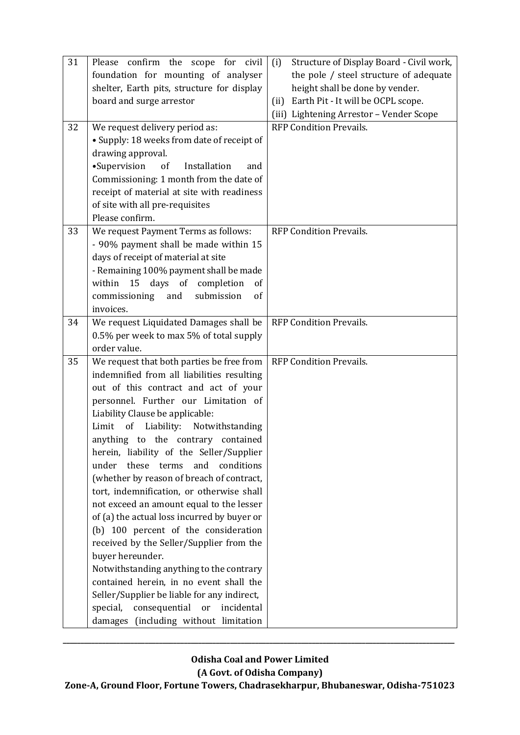| 31 | Please confirm the scope for civil                                                      | Structure of Display Board - Civil work,<br>(i) |
|----|-----------------------------------------------------------------------------------------|-------------------------------------------------|
|    | foundation for mounting of analyser                                                     | the pole / steel structure of adequate          |
|    | shelter, Earth pits, structure for display                                              | height shall be done by vender.                 |
|    | board and surge arrestor                                                                | Earth Pit - It will be OCPL scope.<br>(ii)      |
|    |                                                                                         | (iii) Lightening Arrestor - Vender Scope        |
| 32 | We request delivery period as:                                                          | <b>RFP Condition Prevails.</b>                  |
|    | • Supply: 18 weeks from date of receipt of                                              |                                                 |
|    | drawing approval.                                                                       |                                                 |
|    | •Supervision<br>of<br>Installation<br>and                                               |                                                 |
|    | Commissioning: 1 month from the date of                                                 |                                                 |
|    | receipt of material at site with readiness                                              |                                                 |
|    | of site with all pre-requisites                                                         |                                                 |
|    | Please confirm.                                                                         |                                                 |
| 33 | We request Payment Terms as follows:                                                    | <b>RFP Condition Prevails.</b>                  |
|    | - 90% payment shall be made within 15                                                   |                                                 |
|    | days of receipt of material at site                                                     |                                                 |
|    | - Remaining 100% payment shall be made                                                  |                                                 |
|    | 15<br>days of completion<br>within<br><sub>of</sub>                                     |                                                 |
|    | submission<br>commissioning<br>and<br>of                                                |                                                 |
|    | invoices.                                                                               |                                                 |
| 34 | We request Liquidated Damages shall be                                                  | <b>RFP Condition Prevails.</b>                  |
|    | 0.5% per week to max 5% of total supply<br>order value.                                 |                                                 |
| 35 |                                                                                         | <b>RFP Condition Prevails.</b>                  |
|    | We request that both parties be free from<br>indemnified from all liabilities resulting |                                                 |
|    | out of this contract and act of your                                                    |                                                 |
|    | personnel. Further our Limitation of                                                    |                                                 |
|    | Liability Clause be applicable:                                                         |                                                 |
|    | of Liability:<br>Limit<br>Notwithstanding                                               |                                                 |
|    | anything to the contrary contained                                                      |                                                 |
|    | herein, liability of the Seller/Supplier                                                |                                                 |
|    | under<br>these terms<br>and<br>conditions                                               |                                                 |
|    | (whether by reason of breach of contract,                                               |                                                 |
|    | tort, indemnification, or otherwise shall                                               |                                                 |
|    | not exceed an amount equal to the lesser                                                |                                                 |
|    | of (a) the actual loss incurred by buyer or                                             |                                                 |
|    | (b) 100 percent of the consideration                                                    |                                                 |
|    | received by the Seller/Supplier from the                                                |                                                 |
|    | buyer hereunder.                                                                        |                                                 |
|    | Notwithstanding anything to the contrary                                                |                                                 |
|    | contained herein, in no event shall the                                                 |                                                 |
|    | Seller/Supplier be liable for any indirect,                                             |                                                 |
|    | special,<br>consequential or<br>incidental                                              |                                                 |
|    | damages (including without limitation                                                   |                                                 |

**\_\_\_\_\_\_\_\_\_\_\_\_\_\_\_\_\_\_\_\_\_\_\_\_\_\_\_\_\_\_\_\_\_\_\_\_\_\_\_\_\_\_\_\_\_\_\_\_\_\_\_\_\_\_\_\_\_\_\_\_\_\_\_\_\_\_\_\_\_\_\_\_\_\_\_\_\_\_\_\_\_\_\_\_\_\_\_\_\_\_\_\_\_\_\_\_\_\_\_\_\_\_\_\_\_\_\_\_\_\_**

**(A Govt. of Odisha Company)**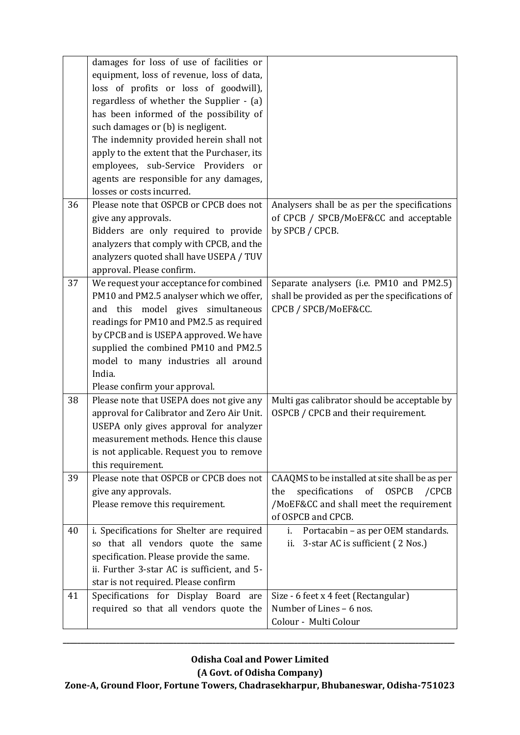|    | damages for loss of use of facilities or    |                                                         |
|----|---------------------------------------------|---------------------------------------------------------|
|    | equipment, loss of revenue, loss of data,   |                                                         |
|    | loss of profits or loss of goodwill),       |                                                         |
|    | regardless of whether the Supplier - (a)    |                                                         |
|    | has been informed of the possibility of     |                                                         |
|    | such damages or (b) is negligent.           |                                                         |
|    | The indemnity provided herein shall not     |                                                         |
|    | apply to the extent that the Purchaser, its |                                                         |
|    | employees, sub-Service Providers or         |                                                         |
|    | agents are responsible for any damages,     |                                                         |
|    | losses or costs incurred.                   |                                                         |
| 36 | Please note that OSPCB or CPCB does not     | Analysers shall be as per the specifications            |
|    | give any approvals.                         | of CPCB / SPCB/MoEF&CC and acceptable                   |
|    | Bidders are only required to provide        | by SPCB / CPCB.                                         |
|    | analyzers that comply with CPCB, and the    |                                                         |
|    | analyzers quoted shall have USEPA / TUV     |                                                         |
|    | approval. Please confirm.                   |                                                         |
| 37 | We request your acceptance for combined     | Separate analysers (i.e. PM10 and PM2.5)                |
|    | PM10 and PM2.5 analyser which we offer,     | shall be provided as per the specifications of          |
|    | and this model gives simultaneous           | CPCB / SPCB/MoEF&CC.                                    |
|    | readings for PM10 and PM2.5 as required     |                                                         |
|    | by CPCB and is USEPA approved. We have      |                                                         |
|    | supplied the combined PM10 and PM2.5        |                                                         |
|    | model to many industries all around         |                                                         |
|    | India.                                      |                                                         |
|    | Please confirm your approval.               |                                                         |
| 38 | Please note that USEPA does not give any    | Multi gas calibrator should be acceptable by            |
|    | approval for Calibrator and Zero Air Unit.  | OSPCB / CPCB and their requirement.                     |
|    | USEPA only gives approval for analyzer      |                                                         |
|    | measurement methods. Hence this clause      |                                                         |
|    | is not applicable. Request you to remove    |                                                         |
|    | this requirement.                           |                                                         |
| 39 | Please note that OSPCB or CPCB does not     | CAAQMS to be installed at site shall be as per          |
|    | give any approvals.                         | specifications<br>of<br><b>OSPCB</b><br>$/$ CPCB<br>the |
|    | Please remove this requirement.             | /MoEF&CC and shall meet the requirement                 |
|    |                                             | of OSPCB and CPCB.                                      |
| 40 | i. Specifications for Shelter are required  | Portacabin - as per OEM standards.<br>i.                |
|    | so that all vendors quote the same          | 3-star AC is sufficient (2 Nos.)<br>ii.                 |
|    | specification. Please provide the same.     |                                                         |
|    | ii. Further 3-star AC is sufficient, and 5- |                                                         |
|    | star is not required. Please confirm        |                                                         |
| 41 | Specifications for Display Board are        | Size - 6 feet x 4 feet (Rectangular)                    |
|    | required so that all vendors quote the      | Number of Lines - 6 nos.                                |
|    |                                             | Colour - Multi Colour                                   |
|    |                                             |                                                         |

**\_\_\_\_\_\_\_\_\_\_\_\_\_\_\_\_\_\_\_\_\_\_\_\_\_\_\_\_\_\_\_\_\_\_\_\_\_\_\_\_\_\_\_\_\_\_\_\_\_\_\_\_\_\_\_\_\_\_\_\_\_\_\_\_\_\_\_\_\_\_\_\_\_\_\_\_\_\_\_\_\_\_\_\_\_\_\_\_\_\_\_\_\_\_\_\_\_\_\_\_\_\_\_\_\_\_\_\_\_\_**

**(A Govt. of Odisha Company)**